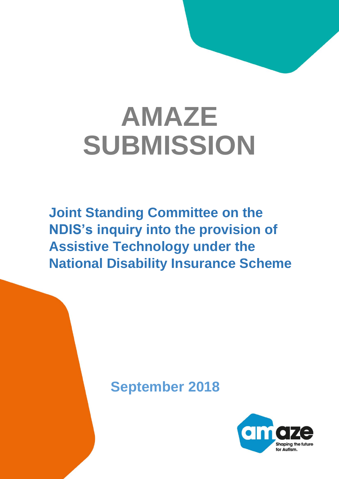# **AMAZE SUBMISSION**

**Joint Standing Committee on the NDIS's inquiry into the provision of Assistive Technology under the National Disability Insurance Scheme**

## **September 2018**

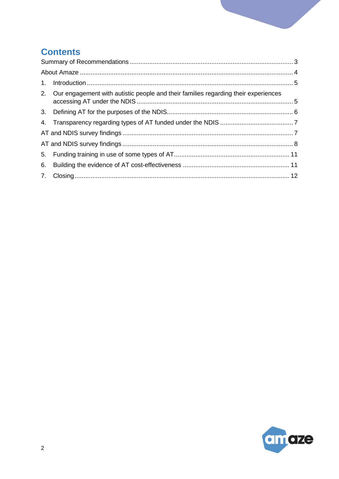## **Contents**

|    | 2. Our engagement with autistic people and their families regarding their experiences |  |
|----|---------------------------------------------------------------------------------------|--|
|    |                                                                                       |  |
|    |                                                                                       |  |
|    |                                                                                       |  |
|    |                                                                                       |  |
|    |                                                                                       |  |
| 6. |                                                                                       |  |
|    |                                                                                       |  |

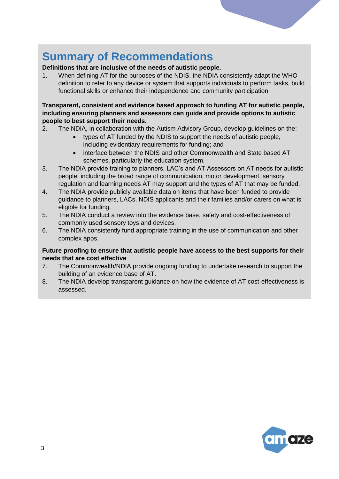## **Summary of Recommendations**

#### **Definitions that are inclusive of the needs of autistic people.**

1. When defining AT for the purposes of the NDIS, the NDIA consistently adapt the WHO definition to refer to any device or system that supports individuals to perform tasks, build functional skills or enhance their independence and community participation.

#### **Transparent, consistent and evidence based approach to funding AT for autistic people, including ensuring planners and assessors can guide and provide options to autistic people to best support their needs.**

- 2. The NDIA, in collaboration with the Autism Advisory Group, develop guidelines on the:
	- types of AT funded by the NDIS to support the needs of autistic people, including evidentiary requirements for funding; and
	- interface between the NDIS and other Commonwealth and State based AT schemes, particularly the education system.
- 3. The NDIA provide training to planners, LAC's and AT Assessors on AT needs for autistic people, including the broad range of communication, motor development, sensory regulation and learning needs AT may support and the types of AT that may be funded.
- 4. The NDIA provide publicly available data on items that have been funded to provide guidance to planners, LACs, NDIS applicants and their families and/or carers on what is eligible for funding.
- 5. The NDIA conduct a review into the evidence base, safety and cost-effectiveness of commonly used sensory toys and devices.
- 6. The NDIA consistently fund appropriate training in the use of communication and other complex apps.

#### **Future proofing to ensure that autistic people have access to the best supports for their needs that are cost effective**

- 7. The Commonwealth/NDIA provide ongoing funding to undertake research to support the building of an evidence base of AT.
- 8. The NDIA develop transparent guidance on how the evidence of AT cost-effectiveness is assessed.

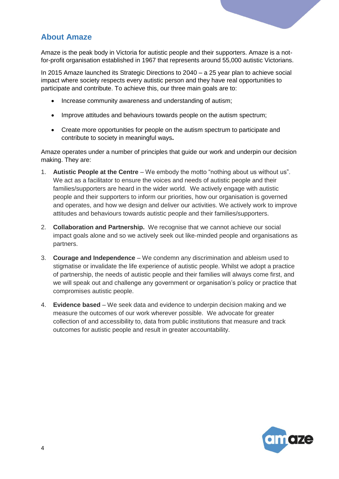#### <span id="page-3-0"></span>**About Amaze**

Amaze is the peak body in Victoria for autistic people and their supporters. Amaze is a notfor-profit organisation established in 1967 that represents around 55,000 autistic Victorians.

In 2015 Amaze launched its Strategic Directions to 2040 – a 25 year plan to achieve social impact where society respects every autistic person and they have real opportunities to participate and contribute. To achieve this, our three main goals are to:

- Increase community awareness and understanding of autism;
- Improve attitudes and behaviours towards people on the autism spectrum;
- Create more opportunities for people on the autism spectrum to participate and contribute to society in meaningful ways**.**

Amaze operates under a number of principles that guide our work and underpin our decision making. They are:

- 1. **Autistic People at the Centre** We embody the motto "nothing about us without us". We act as a facilitator to ensure the voices and needs of autistic people and their families/supporters are heard in the wider world. We actively engage with autistic people and their supporters to inform our priorities, how our organisation is governed and operates, and how we design and deliver our activities. We actively work to improve attitudes and behaviours towards autistic people and their families/supporters.
- 2. **Collaboration and Partnership.** We recognise that we cannot achieve our social impact goals alone and so we actively seek out like-minded people and organisations as partners.
- 3. **Courage and Independence** We condemn any discrimination and ableism used to stigmatise or invalidate the life experience of autistic people. Whilst we adopt a practice of partnership, the needs of autistic people and their families will always come first, and we will speak out and challenge any government or organisation's policy or practice that compromises autistic people.
- 4. **Evidence based** We seek data and evidence to underpin decision making and we measure the outcomes of our work wherever possible. We advocate for greater collection of and accessibility to, data from public institutions that measure and track outcomes for autistic people and result in greater accountability.

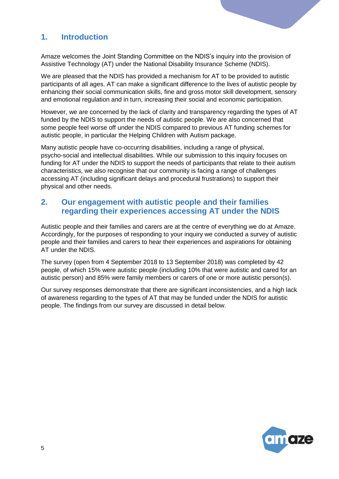#### <span id="page-4-0"></span>**1. Introduction**

Amaze welcomes the Joint Standing Committee on the NDIS's inquiry into the provision of Assistive Technology (AT) under the National Disability Insurance Scheme (NDIS).

We are pleased that the NDIS has provided a mechanism for AT to be provided to autistic participants of all ages. AT can make a significant difference to the lives of autistic people by enhancing their social communication skills, fine and gross motor skill development, sensory and emotional regulation and in turn, increasing their social and economic participation.

However, we are concerned by the lack of clarity and transparency regarding the types of AT funded by the NDIS to support the needs of autistic people. We are also concerned that some people feel worse off under the NDIS compared to previous AT funding schemes for autistic people, in particular the Helping Children with Autism package.

Many autistic people have co-occurring disabilities, including a range of physical, psycho-social and intellectual disabilities. While our submission to this inquiry focuses on funding for AT under the NDIS to support the needs of participants that relate to their autism characteristics, we also recognise that our community is facing a range of challenges accessing AT (including significant delays and procedural frustrations) to support their physical and other needs.

#### <span id="page-4-1"></span>**2. Our engagement with autistic people and their families regarding their experiences accessing AT under the NDIS**

Autistic people and their families and carers are at the centre of everything we do at Amaze. Accordingly, for the purposes of responding to your inquiry we conducted a survey of autistic people and their families and carers to hear their experiences and aspirations for obtaining AT under the NDIS.

The survey (open from 4 September 2018 to 13 September 2018) was completed by 42 people, of which 15% were autistic people (including 10% that were autistic and cared for an autistic person) and 85% were family members or carers of one or more autistic person(s).

Our survey responses demonstrate that there are significant inconsistencies, and a high lack of awareness regarding to the types of AT that may be funded under the NDIS for autistic people. The findings from our survey are discussed in detail below.

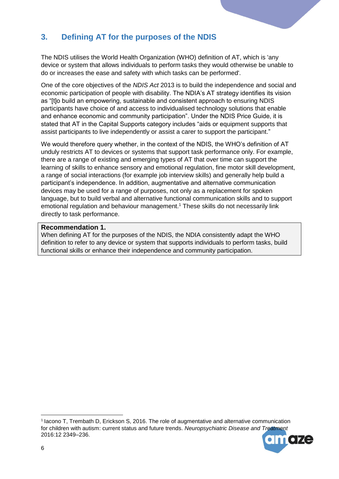#### <span id="page-5-0"></span>**3. Defining AT for the purposes of the NDIS**

The NDIS utilises the World Health Organization (WHO) definition of AT, which is 'any device or system that allows individuals to perform tasks they would otherwise be unable to do or increases the ease and safety with which tasks can be performed'.

One of the core objectives of the *NDIS Act* 2013 is to build the independence and social and economic participation of people with disability. The NDIA's AT strategy identifies its vision as "[t]o build an empowering, sustainable and consistent approach to ensuring NDIS participants have choice of and access to individualised technology solutions that enable and enhance economic and community participation". Under the NDIS Price Guide, it is stated that AT in the Capital Supports category includes "aids or equipment supports that assist participants to live independently or assist a carer to support the participant."

We would therefore query whether, in the context of the NDIS, the WHO's definition of AT unduly restricts AT to devices or systems that support task performance only. For example, there are a range of existing and emerging types of AT that over time can support the learning of skills to enhance sensory and emotional regulation, fine motor skill development, a range of social interactions (for example job interview skills) and generally help build a participant's independence. In addition, augmentative and alternative communication devices may be used for a range of purposes, not only as a replacement for spoken language, but to build verbal and alternative functional communication skills and to support emotional regulation and behaviour management.<sup>1</sup> These skills do not necessarily link directly to task performance.

#### **Recommendation 1.**

When defining AT for the purposes of the NDIS, the NDIA consistently adapt the WHO definition to refer to any device or system that supports individuals to perform tasks, build functional skills or enhance their independence and community participation.

<sup>1</sup> Iacono T, Trembath D, Erickson S, 2016. The role of augmentative and alternative communication for children with autism: current status and future trends. *Neuropsychiatric Disease and Treatment* 2016:12 2349–236.



**.**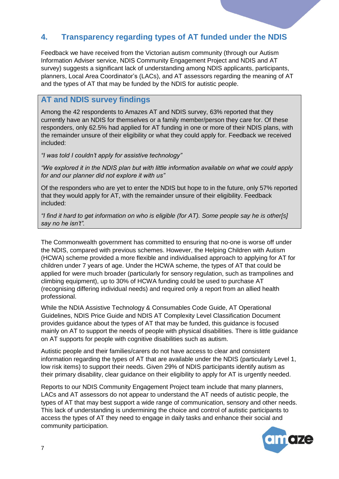#### <span id="page-6-0"></span>**4. Transparency regarding types of AT funded under the NDIS**

Feedback we have received from the Victorian autism community (through our Autism Information Adviser service, NDIS Community Engagement Project and NDIS and AT survey) suggests a significant lack of understanding among NDIS applicants, participants, planners, Local Area Coordinator's (LACs), and AT assessors regarding the meaning of AT and the types of AT that may be funded by the NDIS for autistic people.

#### <span id="page-6-1"></span>**AT and NDIS survey findings**

Among the 42 respondents to Amazes AT and NDIS survey, 63% reported that they currently have an NDIS for themselves or a family member/person they care for. Of these responders, only 62.5% had applied for AT funding in one or more of their NDIS plans, with the remainder unsure of their eligibility or what they could apply for. Feedback we received included:

*"I was told I couldn't apply for assistive technology"*

*"We explored it in the NDIS plan but with little information available on what we could apply for and our planner did not explore it with us"*

Of the responders who are yet to enter the NDIS but hope to in the future, only 57% reported that they would apply for AT, with the remainder unsure of their eligibility. Feedback included:

*"I find it hard to get information on who is eligible (for AT). Some people say he is other[s] say no he isn't".* 

The Commonwealth government has committed to ensuring that no-one is worse off under the NDIS, compared with previous schemes. However, the Helping Children with Autism (HCWA) scheme provided a more flexible and individualised approach to applying for AT for children under 7 years of age. Under the HCWA scheme, the types of AT that could be applied for were much broader (particularly for sensory regulation, such as trampolines and climbing equipment), up to 30% of HCWA funding could be used to purchase AT (recognising differing individual needs) and required only a report from an allied health professional.

While the NDIA Assistive Technology & Consumables Code Guide, AT Operational Guidelines, NDIS Price Guide and NDIS AT Complexity Level Classification Document provides guidance about the types of AT that may be funded, this guidance is focused mainly on AT to support the needs of people with physical disabilities. There is little guidance on AT supports for people with cognitive disabilities such as autism.

Autistic people and their families/carers do not have access to clear and consistent information regarding the types of AT that are available under the NDIS (particularly Level 1, low risk items) to support their needs. Given 29% of NDIS participants identify autism as their primary disability, clear guidance on their eligibility to apply for AT is urgently needed.

Reports to our NDIS Community Engagement Project team include that many planners, LACs and AT assessors do not appear to understand the AT needs of autistic people, the types of AT that may best support a wide range of communication, sensory and other needs. This lack of understanding is undermining the choice and control of autistic participants to access the types of AT they need to engage in daily tasks and enhance their social and community participation.

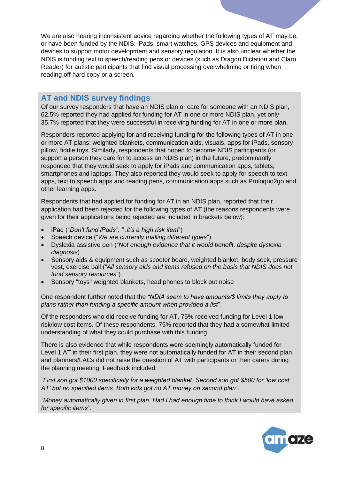We are also hearing inconsistent advice regarding whether the following types of AT may be, or have been funded by the NDIS: iPads, smart watches, GPS devices and equipment and devices to support motor development and sensory regulation. It is also unclear whether the NDIS is funding text to speech/reading pens or devices (such as Dragon Dictation and Claro Reader) for autistic participants that find visual processing overwhelming or tiring when reading off hard copy or a screen.

#### <span id="page-7-0"></span>**AT and NDIS survey findings**

Of our survey responders that have an NDIS plan or care for someone with an NDIS plan, 62.5% reported they had applied for funding for AT in one or more NDIS plan, yet only 35.7% reported that they were successful in receiving funding for AT in one or more plan.

Responders reported applying for and receiving funding for the following types of AT in one or more AT plans: weighted blankets, communication aids, visuals, apps for iPads, sensory pillow, fiddle toys. Similarly, respondents that hoped to become NDIS participants (or support a person they care for to access an NDIS plan) in the future, predominantly responded that they would seek to apply for iPads and communication apps, tablets, smartphones and laptops. They also reported they would seek to apply for speech to text apps, text to speech apps and reading pens, communication apps such as Proloquo2go and other learning apps.

Respondents that had applied for funding for AT in an NDIS plan, reported that their application had been rejected for the following types of AT (the reasons respondents were given for their applications being rejected are included in brackets below):

- iPad ("*Don't fund iPads", "..it's a high risk item*")
- Speech device ("*We are currently trialling different types*")
- Dyslexia assistive pen ("*Not enough evidence that it would benefit, despite dyslexia diagnosis*)
- [Sensory aids & equipment such as scooter board, weighted blanket, body sock, pressure](https://www.esurveycreator.com/?url=result_det&uid=1380319&f_rid=49082711) [vest, exercise ball](https://www.esurveycreator.com/?url=result_det&uid=1380319&f_rid=49082711) ("*All sensory aids and items refused on the basis that NDIS does not fund sensory resources*").
- [Sensory "toys" weighted blankets, head phones to block out noise](https://www.esurveycreator.com/?url=result_det&uid=1380319&f_rid=49103856)

One respondent further noted that the *"NDIA seem to have amounts/\$ limits they apply to plans rather than funding a specific amount when provided a list*".

Of the responders who did receive funding for AT, 75% received funding for Level 1 low risk/low cost items. Of these respondents, 75% reported that they had a somewhat limited understanding of what they could purchase with this funding.

There is also evidence that while respondents were seemingly automatically funded for Level 1 AT in their first plan, they were not automatically funded for AT in their second plan and planners/LACs did not raise the question of AT with participants or their carers during the planning meeting. Feedback included:

*"First son got \$1000 specifically for a weighted blanket. Second son got \$500 for 'low cost AT' but no specified items. Both kids got no AT money on second plan".*

*"Money automatically given in first plan. Had I had enough time to think I would have asked for specific items".*

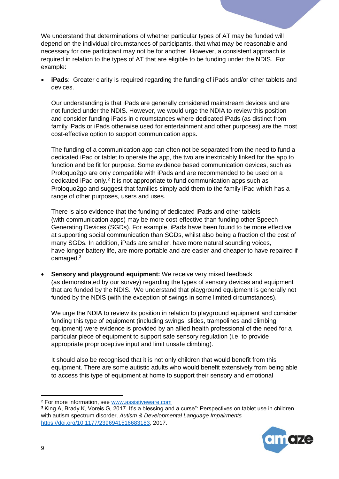We understand that determinations of whether particular types of AT may be funded will depend on the individual circumstances of participants, that what may be reasonable and necessary for one participant may not be for another. However, a consistent approach is required in relation to the types of AT that are eligible to be funding under the NDIS. For example:

 **iPads**: Greater clarity is required regarding the funding of iPads and/or other tablets and devices.

Our understanding is that iPads are generally considered mainstream devices and are not funded under the NDIS. However, we would urge the NDIA to review this position and consider funding iPads in circumstances where dedicated iPads (as distinct from family iPads or iPads otherwise used for entertainment and other purposes) are the most cost-effective option to support communication apps.

The funding of a communication app can often not be separated from the need to fund a dedicated iPad or tablet to operate the app, the two are inextricably linked for the app to function and be fit for purpose. Some evidence based communication devices, such as Proloquo2go are only compatible with iPads and are recommended to be used on a dedicated iPad only.<sup>2</sup> It is not appropriate to fund communication apps such as Proloquo2go and suggest that families simply add them to the family iPad which has a range of other purposes, users and uses.

There is also evidence that the funding of dedicated iPads and other tablets (with communication apps) may be more cost-effective than funding other Speech Generating Devices (SGDs). For example, iPads have been found to be more effective at supporting social communication than SGDs, whilst also being a fraction of the cost of many SGDs. In addition, iPads are smaller, have more natural sounding voices, have longer battery life, are more portable and are easier and cheaper to have repaired if damaged.<sup>3</sup>

 **Sensory and playground equipment:** We receive very mixed feedback (as demonstrated by our survey) regarding the types of sensory devices and equipment that are funded by the NDIS. We understand that playground equipment is generally not funded by the NDIS (with the exception of swings in some limited circumstances).

We urge the NDIA to review its position in relation to playground equipment and consider funding this type of equipment (including swings, slides, trampolines and climbing equipment) were evidence is provided by an allied health professional of the need for a particular piece of equipment to support safe sensory regulation (i.e. to provide appropriate proprioceptive input and limit unsafe climbing).

It should also be recognised that it is not only children that would benefit from this equipment. There are some autistic adults who would benefit extensively from being able to access this type of equipment at home to support their sensory and emotional

**<sup>3</sup>** King A, Brady K, Voreis G, 2017. It's a blessing and a curse": Perspectives on tablet use in children with autism spectrum disorder. *Autism & Developmental Language Impairments* [https://doi.org/10.1177/2396941516683183,](https://doi.org/10.1177/2396941516683183) 2017.



1

<sup>2</sup> For more information, see [www.assistiveware.com](http://www.assistiveware.com/)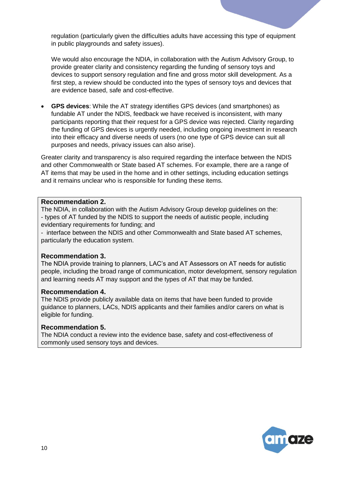regulation (particularly given the difficulties adults have accessing this type of equipment in public playgrounds and safety issues).

We would also encourage the NDIA, in collaboration with the Autism Advisory Group, to provide greater clarity and consistency regarding the funding of sensory toys and devices to support sensory regulation and fine and gross motor skill development. As a first step, a review should be conducted into the types of sensory toys and devices that are evidence based, safe and cost-effective.

 **GPS devices**: While the AT strategy identifies GPS devices (and smartphones) as fundable AT under the NDIS, feedback we have received is inconsistent, with many participants reporting that their request for a GPS device was rejected. Clarity regarding the funding of GPS devices is urgently needed, including ongoing investment in research into their efficacy and diverse needs of users (no one type of GPS device can suit all purposes and needs, privacy issues can also arise).

Greater clarity and transparency is also required regarding the interface between the NDIS and other Commonwealth or State based AT schemes. For example, there are a range of AT items that may be used in the home and in other settings, including education settings and it remains unclear who is responsible for funding these items.

#### **Recommendation 2.**

The NDIA, in collaboration with the Autism Advisory Group develop guidelines on the: - types of AT funded by the NDIS to support the needs of autistic people, including evidentiary requirements for funding; and

- interface between the NDIS and other Commonwealth and State based AT schemes, particularly the education system.

#### **Recommendation 3.**

The NDIA provide training to planners, LAC's and AT Assessors on AT needs for autistic people, including the broad range of communication, motor development, sensory regulation and learning needs AT may support and the types of AT that may be funded.

#### **Recommendation 4.**

The NDIS provide publicly available data on items that have been funded to provide guidance to planners, LACs, NDIS applicants and their families and/or carers on what is eligible for funding.

#### **Recommendation 5.**

The NDIA conduct a review into the evidence base, safety and cost-effectiveness of commonly used sensory toys and devices.

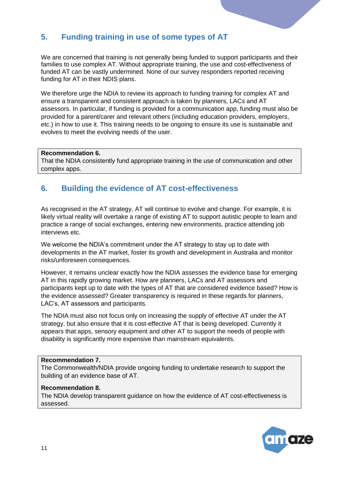#### <span id="page-10-0"></span>**5. Funding training in use of some types of AT**

We are concerned that training is not generally being funded to support participants and their families to use complex AT. Without appropriate training, the use and cost-effectiveness of funded AT can be vastly undermined. None of our survey responders reported receiving funding for AT in their NDIS plans.

We therefore urge the NDIA to review its approach to funding training for complex AT and ensure a transparent and consistent approach is taken by planners, LACs and AT assessors. In particular, if funding is provided for a communication app, funding must also be provided for a parent/carer and relevant others (including education providers, employers, etc.) in how to use it. This training needs to be ongoing to ensure its use is sustainable and evolves to meet the evolving needs of the user.

#### **Recommendation 6.**

That the NDIA consistently fund appropriate training in the use of communication and other complex apps.

#### <span id="page-10-1"></span>**6. Building the evidence of AT cost-effectiveness**

As recognised in the AT strategy, AT will continue to evolve and change. For example, it is likely virtual reality will overtake a range of existing AT to support autistic people to learn and practice a range of social exchanges, entering new environments, practice attending job interviews etc.

We welcome the NDIA's commitment under the AT strategy to stay up to date with developments in the AT market, foster its growth and development in Australia and monitor risks/unforeseen consequences.

However, it remains unclear exactly how the NDIA assesses the evidence base for emerging AT in this rapidly growing market. How are planners, LACs and AT assessors and participants kept up to date with the types of AT that are considered evidence based? How is the evidence assessed? Greater transparency is required in these regards for planners, LAC's, AT assessors and participants.

The NDIA must also not focus only on increasing the supply of effective AT under the AT strategy, but also ensure that it is cost-effective AT that is being developed. Currently it appears that apps, sensory equipment and other AT to support the needs of people with disability is significantly more expensive than mainstream equivalents.

#### **Recommendation 7.**

The Commonwealth/NDIA provide ongoing funding to undertake research to support the building of an evidence base of AT.

#### **Recommendation 8.**

The NDIA develop transparent guidance on how the evidence of AT cost-effectiveness is assessed.